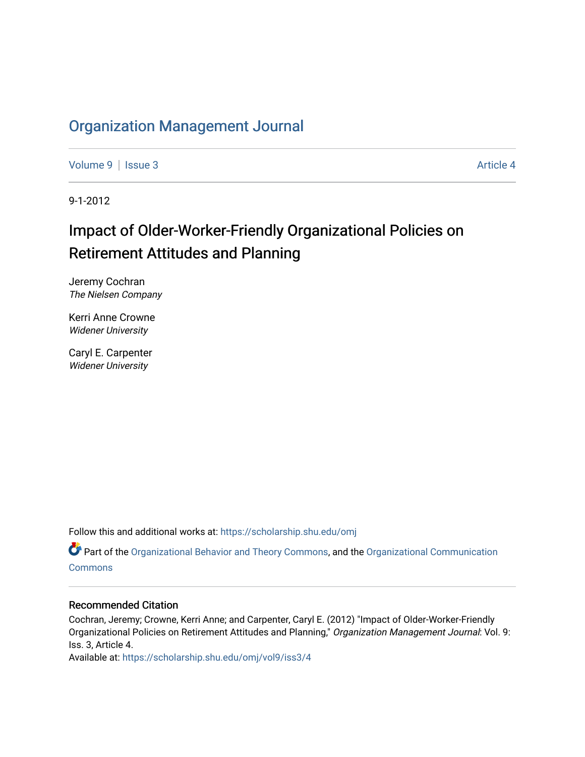## [Organization Management Journal](https://scholarship.shu.edu/omj)

[Volume 9](https://scholarship.shu.edu/omj/vol9) | [Issue 3](https://scholarship.shu.edu/omj/vol9/iss3) Article 4

9-1-2012

# Impact of Older-Worker-Friendly Organizational Policies on Retirement Attitudes and Planning

Jeremy Cochran The Nielsen Company

Kerri Anne Crowne Widener University

Caryl E. Carpenter Widener University

Follow this and additional works at: [https://scholarship.shu.edu/omj](https://scholarship.shu.edu/omj?utm_source=scholarship.shu.edu%2Fomj%2Fvol9%2Fiss3%2F4&utm_medium=PDF&utm_campaign=PDFCoverPages) 

Part of the [Organizational Behavior and Theory Commons,](http://network.bepress.com/hgg/discipline/639?utm_source=scholarship.shu.edu%2Fomj%2Fvol9%2Fiss3%2F4&utm_medium=PDF&utm_campaign=PDFCoverPages) and the [Organizational Communication](http://network.bepress.com/hgg/discipline/335?utm_source=scholarship.shu.edu%2Fomj%2Fvol9%2Fiss3%2F4&utm_medium=PDF&utm_campaign=PDFCoverPages) [Commons](http://network.bepress.com/hgg/discipline/335?utm_source=scholarship.shu.edu%2Fomj%2Fvol9%2Fiss3%2F4&utm_medium=PDF&utm_campaign=PDFCoverPages)

### Recommended Citation

Cochran, Jeremy; Crowne, Kerri Anne; and Carpenter, Caryl E. (2012) "Impact of Older-Worker-Friendly Organizational Policies on Retirement Attitudes and Planning," Organization Management Journal: Vol. 9: Iss. 3, Article 4.

Available at: [https://scholarship.shu.edu/omj/vol9/iss3/4](https://scholarship.shu.edu/omj/vol9/iss3/4?utm_source=scholarship.shu.edu%2Fomj%2Fvol9%2Fiss3%2F4&utm_medium=PDF&utm_campaign=PDFCoverPages)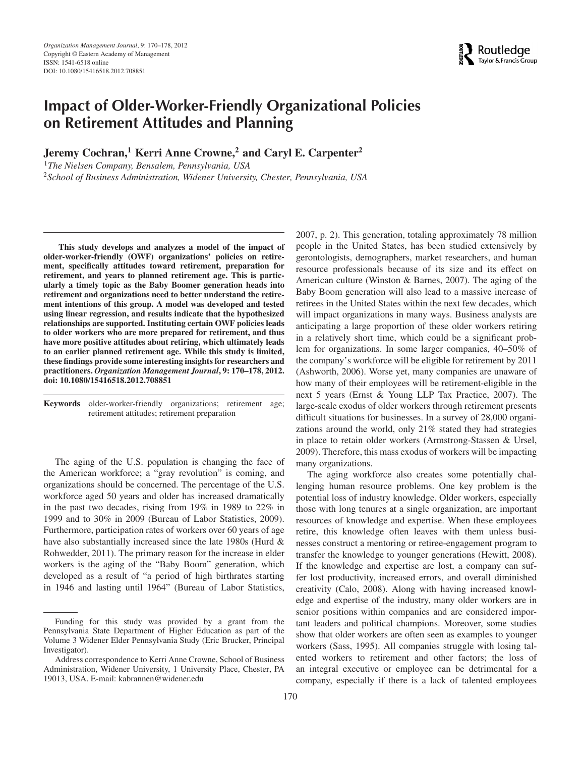## **Impact of Older-Worker-Friendly Organizational Policies on Retirement Attitudes and Planning**

**Jeremy Cochran,<sup>1</sup> Kerri Anne Crowne,<sup>2</sup> and Caryl E. Carpenter<sup>2</sup>** 

<sup>1</sup>*The Nielsen Company, Bensalem, Pennsylvania, USA* <sup>2</sup>*School of Business Administration, Widener University, Chester, Pennsylvania, USA*

**This study develops and analyzes a model of the impact of older-worker-friendly (OWF) organizations' policies on retirement, specifically attitudes toward retirement, preparation for retirement, and years to planned retirement age. This is particularly a timely topic as the Baby Boomer generation heads into retirement and organizations need to better understand the retirement intentions of this group. A model was developed and tested using linear regression, and results indicate that the hypothesized relationships are supported. Instituting certain OWF policies leads to older workers who are more prepared for retirement, and thus have more positive attitudes about retiring, which ultimately leads to an earlier planned retirement age. While this study is limited, these findings provide some interesting insights for researchers and practitioners.** *Organization Management Journal***, 9: 170–178, 2012. doi: 10.1080/15416518.2012.708851**

**Keywords** older-worker-friendly organizations; retirement age; retirement attitudes; retirement preparation

The aging of the U.S. population is changing the face of the American workforce; a "gray revolution" is coming, and organizations should be concerned. The percentage of the U.S. workforce aged 50 years and older has increased dramatically in the past two decades, rising from 19% in 1989 to 22% in 1999 and to 30% in 2009 (Bureau of Labor Statistics, 2009). Furthermore, participation rates of workers over 60 years of age have also substantially increased since the late 1980s (Hurd & Rohwedder, 2011). The primary reason for the increase in elder workers is the aging of the "Baby Boom" generation, which developed as a result of "a period of high birthrates starting in 1946 and lasting until 1964" (Bureau of Labor Statistics,

2007, p. 2). This generation, totaling approximately 78 million people in the United States, has been studied extensively by gerontologists, demographers, market researchers, and human resource professionals because of its size and its effect on American culture (Winston & Barnes, 2007). The aging of the Baby Boom generation will also lead to a massive increase of retirees in the United States within the next few decades, which will impact organizations in many ways. Business analysts are anticipating a large proportion of these older workers retiring in a relatively short time, which could be a significant problem for organizations. In some larger companies, 40–50% of the company's workforce will be eligible for retirement by 2011 (Ashworth, 2006). Worse yet, many companies are unaware of how many of their employees will be retirement-eligible in the next 5 years (Ernst & Young LLP Tax Practice, 2007). The large-scale exodus of older workers through retirement presents difficult situations for businesses. In a survey of 28,000 organizations around the world, only 21% stated they had strategies in place to retain older workers (Armstrong-Stassen & Ursel, 2009). Therefore, this mass exodus of workers will be impacting many organizations.

The aging workforce also creates some potentially challenging human resource problems. One key problem is the potential loss of industry knowledge. Older workers, especially those with long tenures at a single organization, are important resources of knowledge and expertise. When these employees retire, this knowledge often leaves with them unless businesses construct a mentoring or retiree-engagement program to transfer the knowledge to younger generations (Hewitt, 2008). If the knowledge and expertise are lost, a company can suffer lost productivity, increased errors, and overall diminished creativity (Calo, 2008). Along with having increased knowledge and expertise of the industry, many older workers are in senior positions within companies and are considered important leaders and political champions. Moreover, some studies show that older workers are often seen as examples to younger workers (Sass, 1995). All companies struggle with losing talented workers to retirement and other factors; the loss of an integral executive or employee can be detrimental for a company, especially if there is a lack of talented employees



Funding for this study was provided by a grant from the Pennsylvania State Department of Higher Education as part of the Volume 3 Widener Elder Pennsylvania Study (Eric Brucker, Principal Investigator).

Address correspondence to Kerri Anne Crowne, School of Business Administration, Widener University, 1 University Place, Chester, PA 19013, USA. E-mail: kabrannen@widener.edu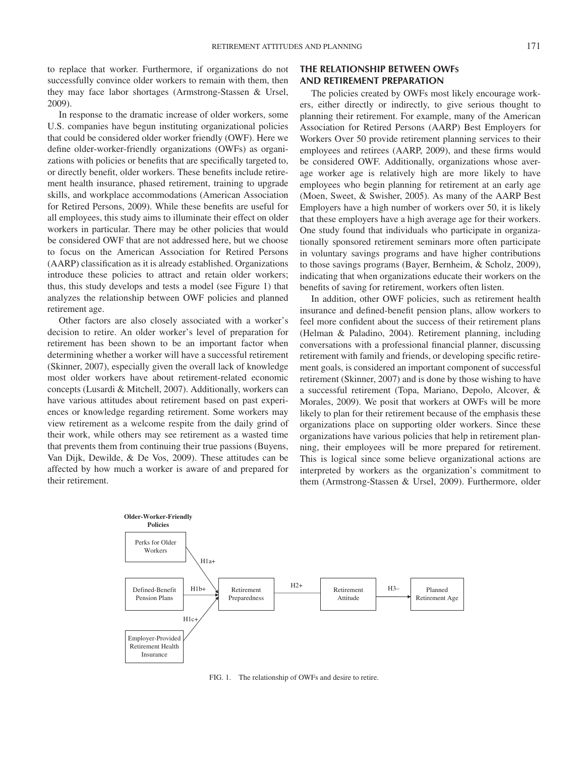to replace that worker. Furthermore, if organizations do not successfully convince older workers to remain with them, then they may face labor shortages (Armstrong-Stassen & Ursel, 2009).

In response to the dramatic increase of older workers, some U.S. companies have begun instituting organizational policies that could be considered older worker friendly (OWF). Here we define older-worker-friendly organizations (OWFs) as organizations with policies or benefits that are specifically targeted to, or directly benefit, older workers. These benefits include retirement health insurance, phased retirement, training to upgrade skills, and workplace accommodations (American Association for Retired Persons, 2009). While these benefits are useful for all employees, this study aims to illuminate their effect on older workers in particular. There may be other policies that would be considered OWF that are not addressed here, but we choose to focus on the American Association for Retired Persons (AARP) classification as it is already established. Organizations introduce these policies to attract and retain older workers; thus, this study develops and tests a model (see Figure 1) that analyzes the relationship between OWF policies and planned retirement age.

Other factors are also closely associated with a worker's decision to retire. An older worker's level of preparation for retirement has been shown to be an important factor when determining whether a worker will have a successful retirement (Skinner, 2007), especially given the overall lack of knowledge most older workers have about retirement-related economic concepts (Lusardi & Mitchell, 2007). Additionally, workers can have various attitudes about retirement based on past experiences or knowledge regarding retirement. Some workers may view retirement as a welcome respite from the daily grind of their work, while others may see retirement as a wasted time that prevents them from continuing their true passions (Buyens, Van Dijk, Dewilde, & De Vos, 2009). These attitudes can be affected by how much a worker is aware of and prepared for their retirement.

#### **THE RELATIONSHIP BETWEEN OWFS AND RETIREMENT PREPARATION**

The policies created by OWFs most likely encourage workers, either directly or indirectly, to give serious thought to planning their retirement. For example, many of the American Association for Retired Persons (AARP) Best Employers for Workers Over 50 provide retirement planning services to their employees and retirees (AARP, 2009), and these firms would be considered OWF. Additionally, organizations whose average worker age is relatively high are more likely to have employees who begin planning for retirement at an early age (Moen, Sweet, & Swisher, 2005). As many of the AARP Best Employers have a high number of workers over 50, it is likely that these employers have a high average age for their workers. One study found that individuals who participate in organizationally sponsored retirement seminars more often participate in voluntary savings programs and have higher contributions to those savings programs (Bayer, Bernheim, & Scholz, 2009), indicating that when organizations educate their workers on the benefits of saving for retirement, workers often listen.

In addition, other OWF policies, such as retirement health insurance and defined-benefit pension plans, allow workers to feel more confident about the success of their retirement plans (Helman & Paladino, 2004). Retirement planning, including conversations with a professional financial planner, discussing retirement with family and friends, or developing specific retirement goals, is considered an important component of successful retirement (Skinner, 2007) and is done by those wishing to have a successful retirement (Topa, Mariano, Depolo, Alcover, & Morales, 2009). We posit that workers at OWFs will be more likely to plan for their retirement because of the emphasis these organizations place on supporting older workers. Since these organizations have various policies that help in retirement planning, their employees will be more prepared for retirement. This is logical since some believe organizational actions are interpreted by workers as the organization's commitment to them (Armstrong-Stassen & Ursel, 2009). Furthermore, older



FIG. 1. The relationship of OWFs and desire to retire.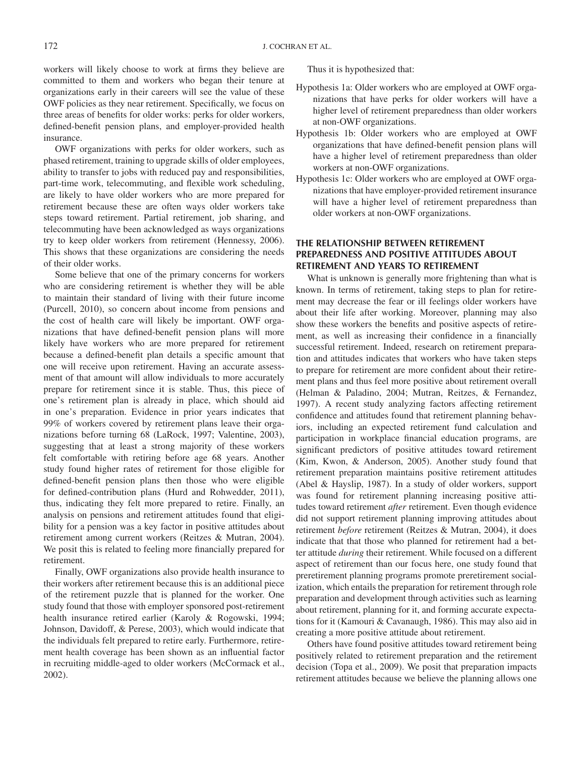workers will likely choose to work at firms they believe are committed to them and workers who began their tenure at organizations early in their careers will see the value of these OWF policies as they near retirement. Specifically, we focus on three areas of benefits for older works: perks for older workers, defined-benefit pension plans, and employer-provided health insurance.

OWF organizations with perks for older workers, such as phased retirement, training to upgrade skills of older employees, ability to transfer to jobs with reduced pay and responsibilities, part-time work, telecommuting, and flexible work scheduling, are likely to have older workers who are more prepared for retirement because these are often ways older workers take steps toward retirement. Partial retirement, job sharing, and telecommuting have been acknowledged as ways organizations try to keep older workers from retirement (Hennessy, 2006). This shows that these organizations are considering the needs of their older works.

Some believe that one of the primary concerns for workers who are considering retirement is whether they will be able to maintain their standard of living with their future income (Purcell, 2010), so concern about income from pensions and the cost of health care will likely be important. OWF organizations that have defined-benefit pension plans will more likely have workers who are more prepared for retirement because a defined-benefit plan details a specific amount that one will receive upon retirement. Having an accurate assessment of that amount will allow individuals to more accurately prepare for retirement since it is stable. Thus, this piece of one's retirement plan is already in place, which should aid in one's preparation. Evidence in prior years indicates that 99% of workers covered by retirement plans leave their organizations before turning 68 (LaRock, 1997; Valentine, 2003), suggesting that at least a strong majority of these workers felt comfortable with retiring before age 68 years. Another study found higher rates of retirement for those eligible for defined-benefit pension plans then those who were eligible for defined-contribution plans (Hurd and Rohwedder, 2011), thus, indicating they felt more prepared to retire. Finally, an analysis on pensions and retirement attitudes found that eligibility for a pension was a key factor in positive attitudes about retirement among current workers (Reitzes & Mutran, 2004). We posit this is related to feeling more financially prepared for retirement.

Finally, OWF organizations also provide health insurance to their workers after retirement because this is an additional piece of the retirement puzzle that is planned for the worker. One study found that those with employer sponsored post-retirement health insurance retired earlier (Karoly & Rogowski, 1994; Johnson, Davidoff, & Perese, 2003), which would indicate that the individuals felt prepared to retire early. Furthermore, retirement health coverage has been shown as an influential factor in recruiting middle-aged to older workers (McCormack et al., 2002).

Thus it is hypothesized that:

- Hypothesis 1a: Older workers who are employed at OWF organizations that have perks for older workers will have a higher level of retirement preparedness than older workers at non-OWF organizations.
- Hypothesis 1b: Older workers who are employed at OWF organizations that have defined-benefit pension plans will have a higher level of retirement preparedness than older workers at non-OWF organizations.
- Hypothesis 1c: Older workers who are employed at OWF organizations that have employer-provided retirement insurance will have a higher level of retirement preparedness than older workers at non-OWF organizations.

#### **THE RELATIONSHIP BETWEEN RETIREMENT PREPAREDNESS AND POSITIVE ATTITUDES ABOUT RETIREMENT AND YEARS TO RETIREMENT**

What is unknown is generally more frightening than what is known. In terms of retirement, taking steps to plan for retirement may decrease the fear or ill feelings older workers have about their life after working. Moreover, planning may also show these workers the benefits and positive aspects of retirement, as well as increasing their confidence in a financially successful retirement. Indeed, research on retirement preparation and attitudes indicates that workers who have taken steps to prepare for retirement are more confident about their retirement plans and thus feel more positive about retirement overall (Helman & Paladino, 2004; Mutran, Reitzes, & Fernandez, 1997). A recent study analyzing factors affecting retirement confidence and attitudes found that retirement planning behaviors, including an expected retirement fund calculation and participation in workplace financial education programs, are significant predictors of positive attitudes toward retirement (Kim, Kwon, & Anderson, 2005). Another study found that retirement preparation maintains positive retirement attitudes (Abel & Hayslip, 1987). In a study of older workers, support was found for retirement planning increasing positive attitudes toward retirement *after* retirement. Even though evidence did not support retirement planning improving attitudes about retirement *before* retirement (Reitzes & Mutran, 2004), it does indicate that that those who planned for retirement had a better attitude *during* their retirement. While focused on a different aspect of retirement than our focus here, one study found that preretirement planning programs promote preretirement socialization, which entails the preparation for retirement through role preparation and development through activities such as learning about retirement, planning for it, and forming accurate expectations for it (Kamouri & Cavanaugh, 1986). This may also aid in creating a more positive attitude about retirement.

Others have found positive attitudes toward retirement being positively related to retirement preparation and the retirement decision (Topa et al., 2009). We posit that preparation impacts retirement attitudes because we believe the planning allows one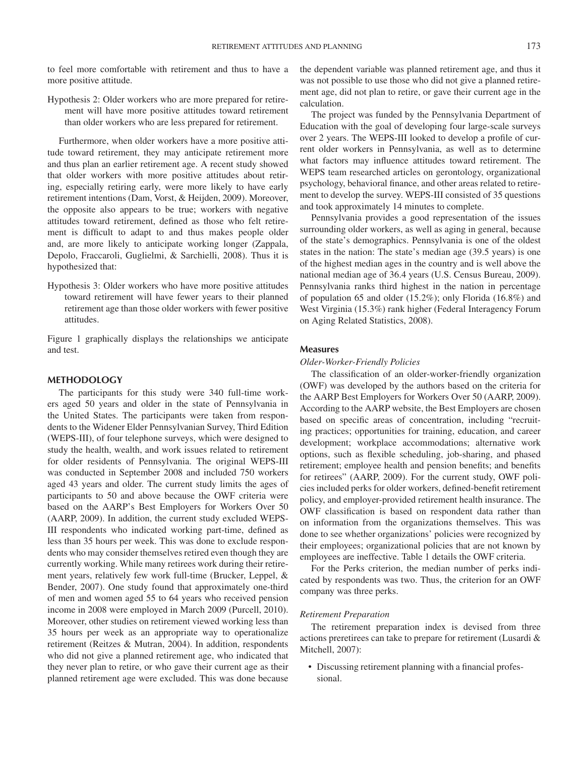to feel more comfortable with retirement and thus to have a more positive attitude.

Hypothesis 2: Older workers who are more prepared for retirement will have more positive attitudes toward retirement than older workers who are less prepared for retirement.

Furthermore, when older workers have a more positive attitude toward retirement, they may anticipate retirement more and thus plan an earlier retirement age. A recent study showed that older workers with more positive attitudes about retiring, especially retiring early, were more likely to have early retirement intentions (Dam, Vorst, & Heijden, 2009). Moreover, the opposite also appears to be true; workers with negative attitudes toward retirement, defined as those who felt retirement is difficult to adapt to and thus makes people older and, are more likely to anticipate working longer (Zappala, Depolo, Fraccaroli, Guglielmi, & Sarchielli, 2008). Thus it is hypothesized that:

Hypothesis 3: Older workers who have more positive attitudes toward retirement will have fewer years to their planned retirement age than those older workers with fewer positive attitudes.

Figure 1 graphically displays the relationships we anticipate and test.

#### **METHODOLOGY**

The participants for this study were 340 full-time workers aged 50 years and older in the state of Pennsylvania in the United States. The participants were taken from respondents to the Widener Elder Pennsylvanian Survey, Third Edition (WEPS-III), of four telephone surveys, which were designed to study the health, wealth, and work issues related to retirement for older residents of Pennsylvania. The original WEPS-III was conducted in September 2008 and included 750 workers aged 43 years and older. The current study limits the ages of participants to 50 and above because the OWF criteria were based on the AARP's Best Employers for Workers Over 50 (AARP, 2009). In addition, the current study excluded WEPS-III respondents who indicated working part-time, defined as less than 35 hours per week. This was done to exclude respondents who may consider themselves retired even though they are currently working. While many retirees work during their retirement years, relatively few work full-time (Brucker, Leppel, & Bender, 2007). One study found that approximately one-third of men and women aged 55 to 64 years who received pension income in 2008 were employed in March 2009 (Purcell, 2010). Moreover, other studies on retirement viewed working less than 35 hours per week as an appropriate way to operationalize retirement (Reitzes & Mutran, 2004). In addition, respondents who did not give a planned retirement age, who indicated that they never plan to retire, or who gave their current age as their planned retirement age were excluded. This was done because the dependent variable was planned retirement age, and thus it was not possible to use those who did not give a planned retirement age, did not plan to retire, or gave their current age in the calculation.

The project was funded by the Pennsylvania Department of Education with the goal of developing four large-scale surveys over 2 years. The WEPS-III looked to develop a profile of current older workers in Pennsylvania, as well as to determine what factors may influence attitudes toward retirement. The WEPS team researched articles on gerontology, organizational psychology, behavioral finance, and other areas related to retirement to develop the survey. WEPS-III consisted of 35 questions and took approximately 14 minutes to complete.

Pennsylvania provides a good representation of the issues surrounding older workers, as well as aging in general, because of the state's demographics. Pennsylvania is one of the oldest states in the nation: The state's median age (39.5 years) is one of the highest median ages in the country and is well above the national median age of 36.4 years (U.S. Census Bureau, 2009). Pennsylvania ranks third highest in the nation in percentage of population 65 and older (15.2%); only Florida (16.8%) and West Virginia (15.3%) rank higher (Federal Interagency Forum on Aging Related Statistics, 2008).

#### **Measures**

#### *Older-Worker-Friendly Policies*

The classification of an older-worker-friendly organization (OWF) was developed by the authors based on the criteria for the AARP Best Employers for Workers Over 50 (AARP, 2009). According to the AARP website, the Best Employers are chosen based on specific areas of concentration, including "recruiting practices; opportunities for training, education, and career development; workplace accommodations; alternative work options, such as flexible scheduling, job-sharing, and phased retirement; employee health and pension benefits; and benefits for retirees" (AARP, 2009). For the current study, OWF policies included perks for older workers, defined-benefit retirement policy, and employer-provided retirement health insurance. The OWF classification is based on respondent data rather than on information from the organizations themselves. This was done to see whether organizations' policies were recognized by their employees; organizational policies that are not known by employees are ineffective. Table 1 details the OWF criteria.

For the Perks criterion, the median number of perks indicated by respondents was two. Thus, the criterion for an OWF company was three perks.

#### *Retirement Preparation*

The retirement preparation index is devised from three actions preretirees can take to prepare for retirement (Lusardi & Mitchell, 2007):

• Discussing retirement planning with a financial professional.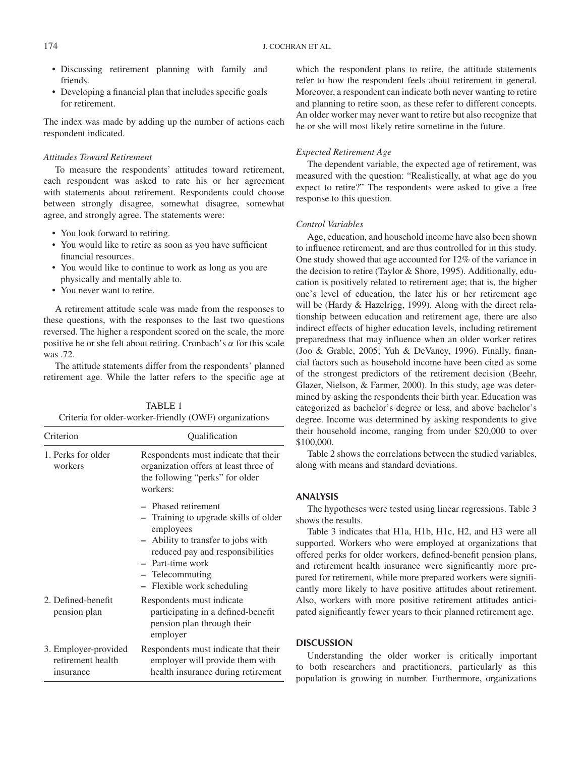- Discussing retirement planning with family and friends.
- Developing a financial plan that includes specific goals for retirement.

The index was made by adding up the number of actions each respondent indicated.

#### *Attitudes Toward Retirement*

To measure the respondents' attitudes toward retirement, each respondent was asked to rate his or her agreement with statements about retirement. Respondents could choose between strongly disagree, somewhat disagree, somewhat agree, and strongly agree. The statements were:

- You look forward to retiring.
- You would like to retire as soon as you have sufficient financial resources.
- You would like to continue to work as long as you are physically and mentally able to.
- You never want to retire.

A retirement attitude scale was made from the responses to these questions, with the responses to the last two questions reversed. The higher a respondent scored on the scale, the more positive he or she felt about retiring. Cronbach's  $\alpha$  for this scale was .72.

The attitude statements differ from the respondents' planned retirement age. While the latter refers to the specific age at

| TABLE 1                                                |
|--------------------------------------------------------|
| Criteria for older-worker-friendly (OWF) organizations |

| Criterion                                              | Qualification                                                                                                                                                                                                            |  |  |  |
|--------------------------------------------------------|--------------------------------------------------------------------------------------------------------------------------------------------------------------------------------------------------------------------------|--|--|--|
| 1. Perks for older<br>workers                          | Respondents must indicate that their<br>organization offers at least three of<br>the following "perks" for older<br>workers:                                                                                             |  |  |  |
|                                                        | - Phased retirement<br>- Training to upgrade skills of older<br>employees<br>- Ability to transfer to jobs with<br>reduced pay and responsibilities<br>- Part-time work<br>- Telecommuting<br>- Flexible work scheduling |  |  |  |
| 2. Defined-benefit<br>pension plan                     | Respondents must indicate<br>participating in a defined-benefit<br>pension plan through their<br>employer                                                                                                                |  |  |  |
| 3. Employer-provided<br>retirement health<br>insurance | Respondents must indicate that their<br>employer will provide them with<br>health insurance during retirement                                                                                                            |  |  |  |

which the respondent plans to retire, the attitude statements refer to how the respondent feels about retirement in general. Moreover, a respondent can indicate both never wanting to retire and planning to retire soon, as these refer to different concepts. An older worker may never want to retire but also recognize that he or she will most likely retire sometime in the future.

#### *Expected Retirement Age*

The dependent variable, the expected age of retirement, was measured with the question: "Realistically, at what age do you expect to retire?" The respondents were asked to give a free response to this question.

#### *Control Variables*

Age, education, and household income have also been shown to influence retirement, and are thus controlled for in this study. One study showed that age accounted for 12% of the variance in the decision to retire (Taylor & Shore, 1995). Additionally, education is positively related to retirement age; that is, the higher one's level of education, the later his or her retirement age will be (Hardy & Hazelrigg, 1999). Along with the direct relationship between education and retirement age, there are also indirect effects of higher education levels, including retirement preparedness that may influence when an older worker retires (Joo & Grable, 2005; Yuh & DeVaney, 1996). Finally, financial factors such as household income have been cited as some of the strongest predictors of the retirement decision (Beehr, Glazer, Nielson, & Farmer, 2000). In this study, age was determined by asking the respondents their birth year. Education was categorized as bachelor's degree or less, and above bachelor's degree. Income was determined by asking respondents to give their household income, ranging from under \$20,000 to over \$100,000.

Table 2 shows the correlations between the studied variables, along with means and standard deviations.

#### **ANALYSIS**

The hypotheses were tested using linear regressions. Table 3 shows the results.

Table 3 indicates that H1a, H1b, H1c, H2, and H3 were all supported. Workers who were employed at organizations that offered perks for older workers, defined-benefit pension plans, and retirement health insurance were significantly more prepared for retirement, while more prepared workers were significantly more likely to have positive attitudes about retirement. Also, workers with more positive retirement attitudes anticipated significantly fewer years to their planned retirement age.

#### **DISCUSSION**

Understanding the older worker is critically important to both researchers and practitioners, particularly as this population is growing in number. Furthermore, organizations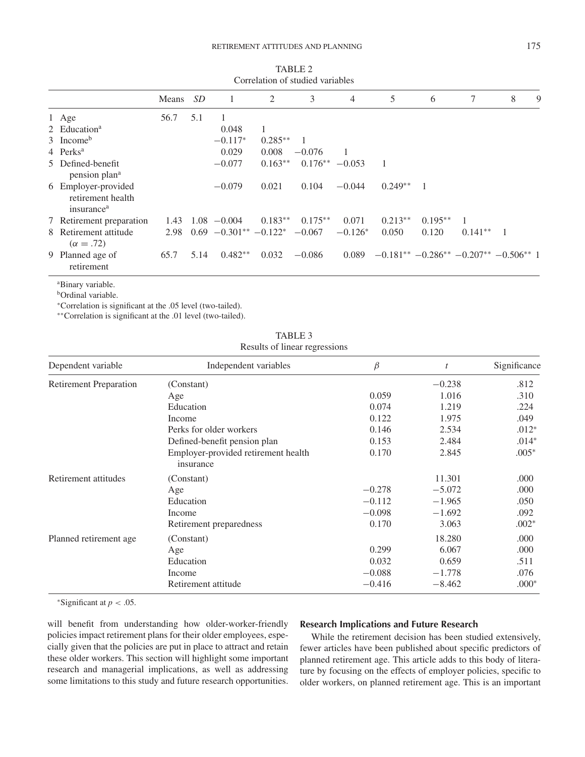|                                                                    | Means | <i>SD</i> | 1                         | 2         | 3         | 4         | 5              | 6              | 7                                                         | 8              | 9 |
|--------------------------------------------------------------------|-------|-----------|---------------------------|-----------|-----------|-----------|----------------|----------------|-----------------------------------------------------------|----------------|---|
| 1 Age                                                              | 56.7  | 5.1       |                           |           |           |           |                |                |                                                           |                |   |
| 2 Education <sup>a</sup>                                           |       |           | 0.048                     |           |           |           |                |                |                                                           |                |   |
| $3$ Income <sup>b</sup>                                            |       |           | $-0.117*$                 | $0.285**$ |           |           |                |                |                                                           |                |   |
| 4 Perks <sup>a</sup>                                               |       |           | 0.029                     | 0.008     | $-0.076$  |           |                |                |                                                           |                |   |
| 5 Defined-benefit<br>pension plan <sup>a</sup>                     |       |           | $-0.077$                  | $0.163**$ | $0.176**$ | $-0.053$  | $\overline{1}$ |                |                                                           |                |   |
| 6 Employer-provided<br>retirement health<br>insurance <sup>a</sup> |       |           | $-0.079$                  | 0.021     | 0.104     | $-0.044$  | $0.249**$      | $\blacksquare$ |                                                           |                |   |
| 7 Retirement preparation                                           | 1.43  |           | $1.08 - 0.004$            | $0.183**$ | $0.175**$ | 0.071     | $0.213**$      | $0.195**$      |                                                           |                |   |
| 8 Retirement attitude<br>$(\alpha = .72)$                          | 2.98  |           | $0.69 - 0.301** - 0.122*$ |           | $-0.067$  | $-0.126*$ | 0.050          | 0.120          | $0.141**$                                                 | $\overline{1}$ |   |
| 9 Planned age of<br>retirement                                     | 65.7  | 5.14      | $0.482**$                 | 0.032     | $-0.086$  | 0.089     |                |                | $-0.181^{**}$ $-0.286^{**}$ $-0.207^{**}$ $-0.506^{**}$ 1 |                |   |

TABLE 2 Correlation of studied variables

a Binary variable.

**bOrdinal** variable.

<sup>∗</sup>Correlation is significant at the .05 level (two-tailed).

∗∗Correlation is significant at the .01 level (two-tailed).

TABLE 3 Results of linear regressions

| Dependent variable            | Independent variables                            | $\beta$  | t        | Significance |
|-------------------------------|--------------------------------------------------|----------|----------|--------------|
| <b>Retirement Preparation</b> | (Constant)                                       |          | $-0.238$ | .812         |
|                               | Age                                              | 0.059    | 1.016    | .310         |
|                               | Education                                        | 0.074    | 1.219    | .224         |
|                               | Income                                           | 0.122    | 1.975    | .049         |
|                               | Perks for older workers                          | 0.146    | 2.534    | $.012*$      |
|                               | Defined-benefit pension plan                     | 0.153    | 2.484    | $.014*$      |
|                               | Employer-provided retirement health<br>insurance | 0.170    | 2.845    | $.005*$      |
| Retirement attitudes          | (Constant)                                       |          | 11.301   | .000         |
|                               | Age                                              | $-0.278$ | $-5.072$ | .000         |
|                               | Education                                        | $-0.112$ | $-1.965$ | .050         |
|                               | Income                                           | $-0.098$ | $-1.692$ | .092         |
|                               | Retirement preparedness                          | 0.170    | 3.063    | $.002*$      |
| Planned retirement age        | (Constant)                                       |          | 18.280   | .000         |
|                               | Age                                              | 0.299    | 6.067    | .000         |
|                               | Education                                        | 0.032    | 0.659    | .511         |
|                               | Income                                           | $-0.088$ | $-1.778$ | .076         |
|                               | Retirement attitude                              | $-0.416$ | $-8.462$ | $.000*$      |

<sup>∗</sup>Significant at *p* < .05.

will benefit from understanding how older-worker-friendly policies impact retirement plans for their older employees, especially given that the policies are put in place to attract and retain these older workers. This section will highlight some important research and managerial implications, as well as addressing some limitations to this study and future research opportunities.

#### **Research Implications and Future Research**

While the retirement decision has been studied extensively, fewer articles have been published about specific predictors of planned retirement age. This article adds to this body of literature by focusing on the effects of employer policies, specific to older workers, on planned retirement age. This is an important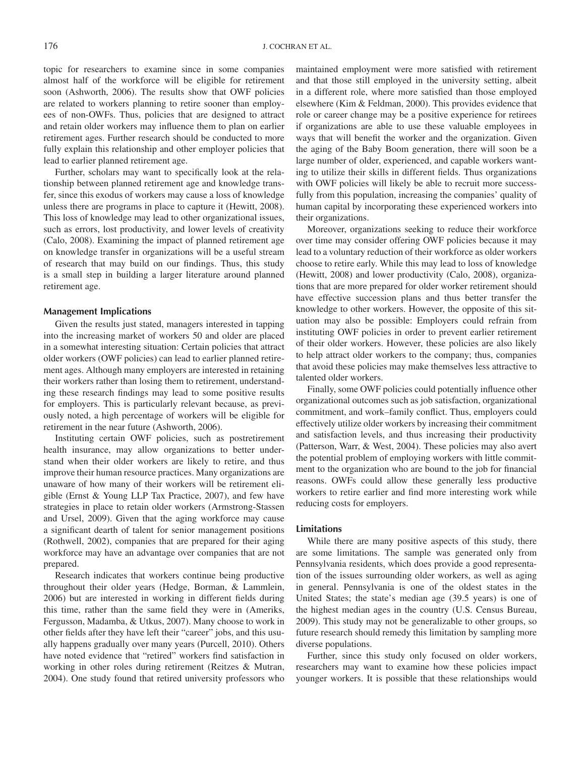topic for researchers to examine since in some companies almost half of the workforce will be eligible for retirement soon (Ashworth, 2006). The results show that OWF policies are related to workers planning to retire sooner than employees of non-OWFs. Thus, policies that are designed to attract and retain older workers may influence them to plan on earlier retirement ages. Further research should be conducted to more fully explain this relationship and other employer policies that lead to earlier planned retirement age.

Further, scholars may want to specifically look at the relationship between planned retirement age and knowledge transfer, since this exodus of workers may cause a loss of knowledge unless there are programs in place to capture it (Hewitt, 2008). This loss of knowledge may lead to other organizational issues, such as errors, lost productivity, and lower levels of creativity (Calo, 2008). Examining the impact of planned retirement age on knowledge transfer in organizations will be a useful stream of research that may build on our findings. Thus, this study is a small step in building a larger literature around planned retirement age.

#### **Management Implications**

Given the results just stated, managers interested in tapping into the increasing market of workers 50 and older are placed in a somewhat interesting situation: Certain policies that attract older workers (OWF policies) can lead to earlier planned retirement ages. Although many employers are interested in retaining their workers rather than losing them to retirement, understanding these research findings may lead to some positive results for employers. This is particularly relevant because, as previously noted, a high percentage of workers will be eligible for retirement in the near future (Ashworth, 2006).

Instituting certain OWF policies, such as postretirement health insurance, may allow organizations to better understand when their older workers are likely to retire, and thus improve their human resource practices. Many organizations are unaware of how many of their workers will be retirement eligible (Ernst & Young LLP Tax Practice, 2007), and few have strategies in place to retain older workers (Armstrong-Stassen and Ursel, 2009). Given that the aging workforce may cause a significant dearth of talent for senior management positions (Rothwell, 2002), companies that are prepared for their aging workforce may have an advantage over companies that are not prepared.

Research indicates that workers continue being productive throughout their older years (Hedge, Borman, & Lammlein, 2006) but are interested in working in different fields during this time, rather than the same field they were in (Ameriks, Fergusson, Madamba, & Utkus, 2007). Many choose to work in other fields after they have left their "career" jobs, and this usually happens gradually over many years (Purcell, 2010). Others have noted evidence that "retired" workers find satisfaction in working in other roles during retirement (Reitzes & Mutran, 2004). One study found that retired university professors who

maintained employment were more satisfied with retirement and that those still employed in the university setting, albeit in a different role, where more satisfied than those employed elsewhere (Kim & Feldman, 2000). This provides evidence that role or career change may be a positive experience for retirees if organizations are able to use these valuable employees in ways that will benefit the worker and the organization. Given the aging of the Baby Boom generation, there will soon be a large number of older, experienced, and capable workers wanting to utilize their skills in different fields. Thus organizations with OWF policies will likely be able to recruit more successfully from this population, increasing the companies' quality of human capital by incorporating these experienced workers into their organizations.

Moreover, organizations seeking to reduce their workforce over time may consider offering OWF policies because it may lead to a voluntary reduction of their workforce as older workers choose to retire early. While this may lead to loss of knowledge (Hewitt, 2008) and lower productivity (Calo, 2008), organizations that are more prepared for older worker retirement should have effective succession plans and thus better transfer the knowledge to other workers. However, the opposite of this situation may also be possible: Employers could refrain from instituting OWF policies in order to prevent earlier retirement of their older workers. However, these policies are also likely to help attract older workers to the company; thus, companies that avoid these policies may make themselves less attractive to talented older workers.

Finally, some OWF policies could potentially influence other organizational outcomes such as job satisfaction, organizational commitment, and work–family conflict. Thus, employers could effectively utilize older workers by increasing their commitment and satisfaction levels, and thus increasing their productivity (Patterson, Warr, & West, 2004). These policies may also avert the potential problem of employing workers with little commitment to the organization who are bound to the job for financial reasons. OWFs could allow these generally less productive workers to retire earlier and find more interesting work while reducing costs for employers.

#### **Limitations**

While there are many positive aspects of this study, there are some limitations. The sample was generated only from Pennsylvania residents, which does provide a good representation of the issues surrounding older workers, as well as aging in general. Pennsylvania is one of the oldest states in the United States; the state's median age (39.5 years) is one of the highest median ages in the country (U.S. Census Bureau, 2009). This study may not be generalizable to other groups, so future research should remedy this limitation by sampling more diverse populations.

Further, since this study only focused on older workers, researchers may want to examine how these policies impact younger workers. It is possible that these relationships would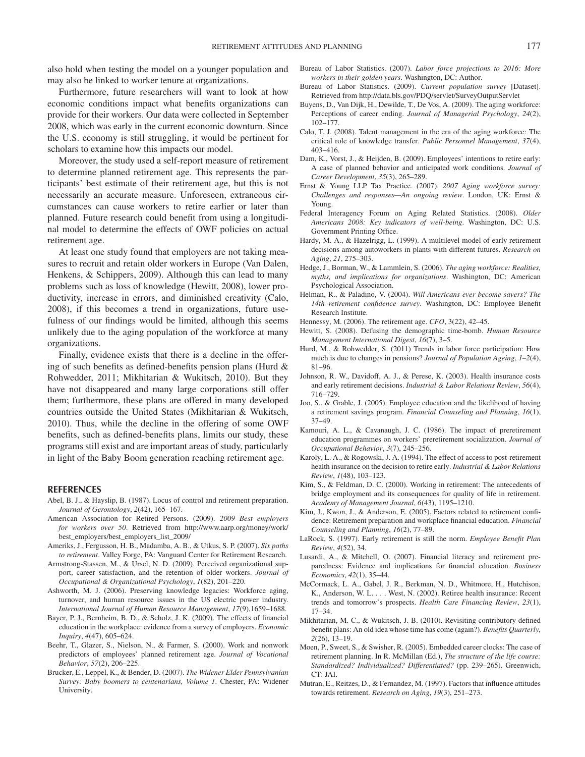also hold when testing the model on a younger population and may also be linked to worker tenure at organizations.

Furthermore, future researchers will want to look at how economic conditions impact what benefits organizations can provide for their workers. Our data were collected in September 2008, which was early in the current economic downturn. Since the U.S. economy is still struggling, it would be pertinent for scholars to examine how this impacts our model.

Moreover, the study used a self-report measure of retirement to determine planned retirement age. This represents the participants' best estimate of their retirement age, but this is not necessarily an accurate measure. Unforeseen, extraneous circumstances can cause workers to retire earlier or later than planned. Future research could benefit from using a longitudinal model to determine the effects of OWF policies on actual retirement age.

At least one study found that employers are not taking measures to recruit and retain older workers in Europe (Van Dalen, Henkens, & Schippers, 2009). Although this can lead to many problems such as loss of knowledge (Hewitt, 2008), lower productivity, increase in errors, and diminished creativity (Calo, 2008), if this becomes a trend in organizations, future usefulness of our findings would be limited, although this seems unlikely due to the aging population of the workforce at many organizations.

Finally, evidence exists that there is a decline in the offering of such benefits as defined-benefits pension plans (Hurd & Rohwedder, 2011; Mikhitarian & Wukitsch, 2010). But they have not disappeared and many large corporations still offer them; furthermore, these plans are offered in many developed countries outside the United States (Mikhitarian & Wukitsch, 2010). Thus, while the decline in the offering of some OWF benefits, such as defined-benefits plans, limits our study, these programs still exist and are important areas of study, particularly in light of the Baby Boom generation reaching retirement age.

#### **REFERENCES**

- Abel, B. J., & Hayslip, B. (1987). Locus of control and retirement preparation. *Journal of Gerontology*, *2*(42), 165–167.
- American Association for Retired Persons. (2009). *2009 Best employers for workers over 50*. Retrieved from http://www.aarp.org/money/work/ best\_employers/best\_employers\_list\_2009/
- Ameriks, J., Fergusson, H. B., Madamba, A. B., & Utkus, S. P. (2007). *Six paths to retirement*. Valley Forge, PA: Vanguard Center for Retirement Research.
- Armstrong-Stassen, M., & Ursel, N. D. (2009). Perceived organizational support, career satisfaction, and the retention of older workers. *Journal of Occupational & Organizational Psychology*, *1*(82), 201–220.
- Ashworth, M. J. (2006). Preserving knowledge legacies: Workforce aging, turnover, and human resource issues in the US electric power industry. *International Journal of Human Resource Management*, *17*(9),1659–1688.
- Bayer, P. J., Bernheim, B. D., & Scholz, J. K. (2009). The effects of financial education in the workplace: evidence from a survey of employers. *Economic Inquiry*, *4*(47), 605–624.
- Beehr, T., Glazer, S., Nielson, N., & Farmer, S. (2000). Work and nonwork predictors of employees' planned retirement age. *Journal of Vocational Behavior*, *57*(2), 206–225.
- Brucker, E., Leppel, K., & Bender, D. (2007). *The Widener Elder Pennsylvanian Survey: Baby boomers to centenarians, Volume 1*. Chester, PA: Widener University.
- Bureau of Labor Statistics. (2007). *Labor force projections to 2016: More workers in their golden years*. Washington, DC: Author.
- Bureau of Labor Statistics. (2009). *Current population survey* [Dataset]. Retrieved from http://data.bls.gov/PDQ/servlet/SurveyOutputServlet
- Buyens, D., Van Dijk, H., Dewilde, T., De Vos, A. (2009). The aging workforce: Perceptions of career ending. *Journal of Managerial Psychology*, *24*(2), 102–177.
- Calo, T. J. (2008). Talent management in the era of the aging workforce: The critical role of knowledge transfer. *Public Personnel Management*, *37*(4), 403–416.
- Dam, K., Vorst, J., & Heijden, B. (2009). Employees' intentions to retire early: A case of planned behavior and anticipated work conditions. *Journal of Career Development*, *35*(3), 265–289.
- Ernst & Young LLP Tax Practice. (2007). *2007 Aging workforce survey: Challenges and responses—An ongoing review*. London, UK: Ernst & Young.
- Federal Interagency Forum on Aging Related Statistics. (2008). *Older Americans 2008: Key indicators of well-being*. Washington, DC: U.S. Government Printing Office.
- Hardy, M. A., & Hazelrigg, L. (1999). A multilevel model of early retirement decisions among autoworkers in plants with different futures. *Research on Aging*, *21*, 275–303.
- Hedge, J., Borman, W., & Lammlein, S. (2006). *The aging workforce: Realities, myths, and implications for organizations*. Washington, DC: American Psychological Association.
- Helman, R., & Paladino, V. (2004). *Will Americans ever become savers? The 14th retirement confidence survey*. Washington, DC: Employee Benefit Research Institute.
- Hennessy, M. (2006). The retirement age. *CFO*, 3(22), 42–45.
- Hewitt, S. (2008). Defusing the demographic time-bomb. *Human Resource Management International Digest*, *16*(7), 3–5.
- Hurd, M., & Rohwedder, S. (2011) Trends in labor force participation: How much is due to changes in pensions? *Journal of Population Ageing*, *1–2*(4), 81–96.
- Johnson, R. W., Davidoff, A. J., & Perese, K. (2003). Health insurance costs and early retirement decisions. *Industrial & Labor Relations Review*, *56*(4), 716–729.
- Joo, S., & Grable, J. (2005). Employee education and the likelihood of having a retirement savings program. *Financial Counseling and Planning*, *16*(1), 37–49.
- Kamouri, A. L., & Cavanaugh, J. C. (1986). The impact of preretirement education programmes on workers' preretirement socialization. *Journal of Occupational Behavior*, *3*(7), 245–256.
- Karoly, L. A., & Rogowski, J. A. (1994). The effect of access to post-retirement health insurance on the decision to retire early. *Industrial & Labor Relations Review*, *1*(48), 103–123.
- Kim, S., & Feldman, D. C. (2000). Working in retirement: The antecedents of bridge employment and its consequences for quality of life in retirement. *Academy of Management Journal*, *6*(43), 1195–1210.
- Kim, J., Kwon, J., & Anderson, E. (2005). Factors related to retirement confidence: Retirement preparation and workplace financial education. *Financial Counseling and Planning*, *16*(2), 77–89.
- LaRock, S. (1997). Early retirement is still the norm. *Employee Benefit Plan Review*, *4*(52), 34.
- Lusardi, A., & Mitchell, O. (2007). Financial literacy and retirement preparedness: Evidence and implications for financial education. *Business Economics*, *42*(1), 35–44.
- McCormack, L. A., Gabel, J. R., Berkman, N. D., Whitmore, H., Hutchison, K., Anderson, W. L. ... West, N. (2002). Retiree health insurance: Recent trends and tomorrow's prospects. *Health Care Financing Review*, *23*(1), 17–34.
- Mikhitarian, M. C., & Wukitsch, J. B. (2010). Revisiting contributory defined benefit plans: An old idea whose time has come (again?). *Benefits Quarterly*, *2*(26), 13–19.
- Moen, P., Sweet, S., & Swisher, R. (2005). Embedded career clocks: The case of retirement planning. In R. McMillan (Ed.), *The structure of the life course: Standardized? Individualized? Differentiated?* (pp. 239–265). Greenwich, CT: JAI.
- Mutran, E., Reitzes, D., & Fernandez, M. (1997). Factors that influence attitudes towards retirement. *Research on Aging*, *19*(3), 251–273.